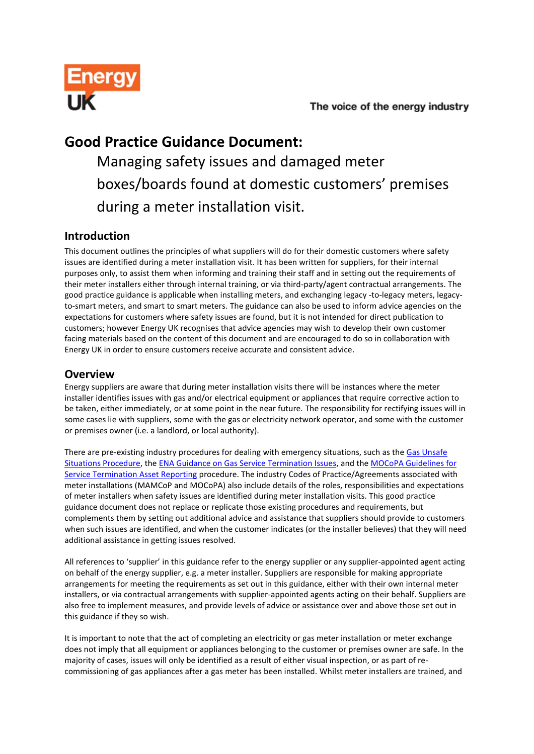

## **Good Practice Guidance Document:**

Managing safety issues and damaged meter boxes/boards found at domestic customers' premises during a meter installation visit.

### **Introduction**

This document outlines the principles of what suppliers will do for their domestic customers where safety issues are identified during a meter installation visit. It has been written for suppliers, for their internal purposes only, to assist them when informing and training their staff and in setting out the requirements of their meter installers either through internal training, or via third-party/agent contractual arrangements. The good practice guidance is applicable when installing meters, and exchanging legacy -to-legacy meters, legacyto-smart meters, and smart to smart meters. The guidance can also be used to inform advice agencies on the expectations for customers where safety issues are found, but it is not intended for direct publication to customers; however Energy UK recognises that advice agencies may wish to develop their own customer facing materials based on the content of this document and are encouraged to do so in collaboration with Energy UK in order to ensure customers receive accurate and consistent advice.

### **Overview**

Energy suppliers are aware that during meter installation visits there will be instances where the meter installer identifies issues with gas and/or electrical equipment or appliances that require corrective action to be taken, either immediately, or at some point in the near future. The responsibility for rectifying issues will in some cases lie with suppliers, some with the gas or electricity network operator, and some with the customer or premises owner (i.e. a landlord, or local authority).

There are pre-existing industry procedures for dealing with emergency situations, such as the [Gas Unsafe](http://www.gassaferegister.co.uk/pdf/GIUSP%20Edition%206%20-%20publication%20web%20version%20V1%201.pdf)  [Situations Procedure,](http://www.gassaferegister.co.uk/pdf/GIUSP%20Edition%206%20-%20publication%20web%20version%20V1%201.pdf) th[e ENA Guidance on Gas Service Termination Issues,](http://www.energynetworks.org/modx/assets/files/gas/futures/Guidance%20on%20Gas%20Service%20Termination%20Issues%20FINAL%201%20November%202013.pdf) and th[e MOCoPA Guidelines for](http://www.mocopa.org.uk/assets/documents/MOCOPA%20Safety%20Action%20Codes%20Guidance%20Document%20v2.0.pdf)  [Service Termination Asset Reporting](http://www.mocopa.org.uk/assets/documents/MOCOPA%20Safety%20Action%20Codes%20Guidance%20Document%20v2.0.pdf) procedure. The industry Codes of Practice/Agreements associated with meter installations (MAMCoP and MOCoPA) also include details of the roles, responsibilities and expectations of meter installers when safety issues are identified during meter installation visits. This good practice guidance document does not replace or replicate those existing procedures and requirements, but complements them by setting out additional advice and assistance that suppliers should provide to customers when such issues are identified, and when the customer indicates (or the installer believes) that they will need additional assistance in getting issues resolved.

All references to 'supplier' in this guidance refer to the energy supplier or any supplier-appointed agent acting on behalf of the energy supplier, e.g. a meter installer. Suppliers are responsible for making appropriate arrangements for meeting the requirements as set out in this guidance, either with their own internal meter installers, or via contractual arrangements with supplier-appointed agents acting on their behalf. Suppliers are also free to implement measures, and provide levels of advice or assistance over and above those set out in this guidance if they so wish.

It is important to note that the act of completing an electricity or gas meter installation or meter exchange does not imply that all equipment or appliances belonging to the customer or premises owner are safe. In the majority of cases, issues will only be identified as a result of either visual inspection, or as part of recommissioning of gas appliances after a gas meter has been installed. Whilst meter installers are trained, and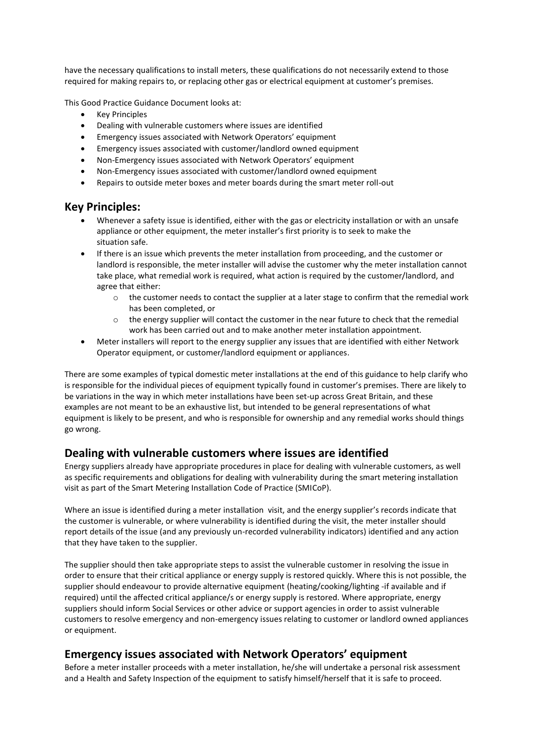have the necessary qualifications to install meters, these qualifications do not necessarily extend to those required for making repairs to, or replacing other gas or electrical equipment at customer's premises.

This Good Practice Guidance Document looks at:

- Key Principles
- Dealing with vulnerable customers where issues are identified
- Emergency issues associated with Network Operators' equipment
- Emergency issues associated with customer/landlord owned equipment
- Non-Emergency issues associated with Network Operators' equipment
- Non-Emergency issues associated with customer/landlord owned equipment
- Repairs to outside meter boxes and meter boards during the smart meter roll-out

#### **Key Principles:**

- Whenever a safety issue is identified, either with the gas or electricity installation or with an unsafe appliance or other equipment, the meter installer's first priority is to seek to make the situation safe.
- If there is an issue which prevents the meter installation from proceeding, and the customer or landlord is responsible, the meter installer will advise the customer why the meter installation cannot take place, what remedial work is required, what action is required by the customer/landlord, and agree that either:
	- $\circ$  the customer needs to contact the supplier at a later stage to confirm that the remedial work has been completed, or
	- $\circ$  the energy supplier will contact the customer in the near future to check that the remedial work has been carried out and to make another meter installation appointment.
- Meter installers will report to the energy supplier any issues that are identified with either Network Operator equipment, or customer/landlord equipment or appliances.

There are some examples of typical domestic meter installations at the end of this guidance to help clarify who is responsible for the individual pieces of equipment typically found in customer's premises. There are likely to be variations in the way in which meter installations have been set-up across Great Britain, and these examples are not meant to be an exhaustive list, but intended to be general representations of what equipment is likely to be present, and who is responsible for ownership and any remedial works should things go wrong.

#### **Dealing with vulnerable customers where issues are identified**

Energy suppliers already have appropriate procedures in place for dealing with vulnerable customers, as well as specific requirements and obligations for dealing with vulnerability during the smart metering installation visit as part of the Smart Metering Installation Code of Practice (SMICoP).

Where an issue is identified during a meter installation visit, and the energy supplier's records indicate that the customer is vulnerable, or where vulnerability is identified during the visit, the meter installer should report details of the issue (and any previously un-recorded vulnerability indicators) identified and any action that they have taken to the supplier.

The supplier should then take appropriate steps to assist the vulnerable customer in resolving the issue in order to ensure that their critical appliance or energy supply is restored quickly. Where this is not possible, the supplier should endeavour to provide alternative equipment (heating/cooking/lighting -if available and if required) until the affected critical appliance/s or energy supply is restored. Where appropriate, energy suppliers should inform Social Services or other advice or support agencies in order to assist vulnerable customers to resolve emergency and non-emergency issues relating to customer or landlord owned appliances or equipment.

#### **Emergency issues associated with Network Operators' equipment**

Before a meter installer proceeds with a meter installation, he/she will undertake a personal risk assessment and a Health and Safety Inspection of the equipment to satisfy himself/herself that it is safe to proceed.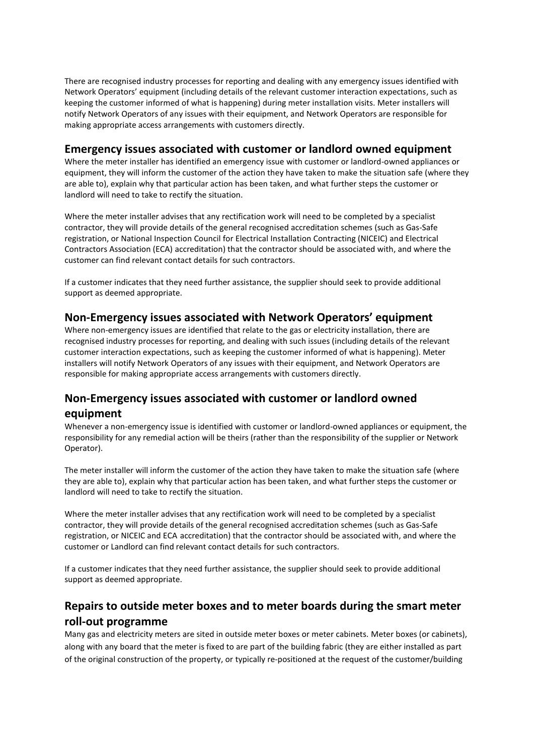There are recognised industry processes for reporting and dealing with any emergency issues identified with Network Operators' equipment (including details of the relevant customer interaction expectations, such as keeping the customer informed of what is happening) during meter installation visits. Meter installers will notify Network Operators of any issues with their equipment, and Network Operators are responsible for making appropriate access arrangements with customers directly.

#### **Emergency issues associated with customer or landlord owned equipment**

Where the meter installer has identified an emergency issue with customer or landlord-owned appliances or equipment, they will inform the customer of the action they have taken to make the situation safe (where they are able to), explain why that particular action has been taken, and what further steps the customer or landlord will need to take to rectify the situation.

Where the meter installer advises that any rectification work will need to be completed by a specialist contractor, they will provide details of the general recognised accreditation schemes (such as Gas-Safe registration, or National Inspection Council for Electrical Installation Contracting (NICEIC) and Electrical Contractors Association (ECA) accreditation) that the contractor should be associated with, and where the customer can find relevant contact details for such contractors.

If a customer indicates that they need further assistance, the supplier should seek to provide additional support as deemed appropriate.

#### **Non-Emergency issues associated with Network Operators' equipment**

Where non-emergency issues are identified that relate to the gas or electricity installation, there are recognised industry processes for reporting, and dealing with such issues (including details of the relevant customer interaction expectations, such as keeping the customer informed of what is happening). Meter installers will notify Network Operators of any issues with their equipment, and Network Operators are responsible for making appropriate access arrangements with customers directly.

### **Non-Emergency issues associated with customer or landlord owned equipment**

Whenever a non-emergency issue is identified with customer or landlord-owned appliances or equipment, the responsibility for any remedial action will be theirs (rather than the responsibility of the supplier or Network Operator).

The meter installer will inform the customer of the action they have taken to make the situation safe (where they are able to), explain why that particular action has been taken, and what further steps the customer or landlord will need to take to rectify the situation.

Where the meter installer advises that any rectification work will need to be completed by a specialist contractor, they will provide details of the general recognised accreditation schemes (such as Gas-Safe registration, or NICEIC and ECA accreditation) that the contractor should be associated with, and where the customer or Landlord can find relevant contact details for such contractors.

If a customer indicates that they need further assistance, the supplier should seek to provide additional support as deemed appropriate.

### **Repairs to outside meter boxes and to meter boards during the smart meter roll-out programme**

Many gas and electricity meters are sited in outside meter boxes or meter cabinets. Meter boxes (or cabinets), along with any board that the meter is fixed to are part of the building fabric (they are either installed as part of the original construction of the property, or typically re-positioned at the request of the customer/building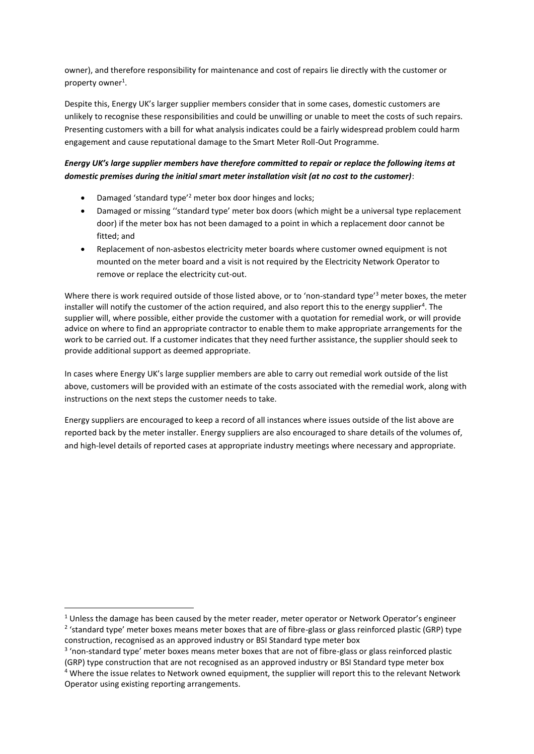owner), and therefore responsibility for maintenance and cost of repairs lie directly with the customer or property owner<sup>1</sup>.

Despite this, Energy UK's larger supplier members consider that in some cases, domestic customers are unlikely to recognise these responsibilities and could be unwilling or unable to meet the costs of such repairs. Presenting customers with a bill for what analysis indicates could be a fairly widespread problem could harm engagement and cause reputational damage to the Smart Meter Roll-Out Programme.

#### *Energy UK's large supplier members have therefore committed to repair or replace the following items at domestic premises during the initial smart meter installation visit (at no cost to the customer)*:

- Damaged 'standard type'<sup>2</sup> meter box door hinges and locks;
- Damaged or missing ''standard type' meter box doors (which might be a universal type replacement door) if the meter box has not been damaged to a point in which a replacement door cannot be fitted; and
- Replacement of non-asbestos electricity meter boards where customer owned equipment is not mounted on the meter board and a visit is not required by the Electricity Network Operator to remove or replace the electricity cut-out.

Where there is work required outside of those listed above, or to 'non-standard type'<sup>3</sup> meter boxes, the meter installer will notify the customer of the action required, and also report this to the energy supplier<sup>4</sup>. The supplier will, where possible, either provide the customer with a quotation for remedial work, or will provide advice on where to find an appropriate contractor to enable them to make appropriate arrangements for the work to be carried out. If a customer indicates that they need further assistance, the supplier should seek to provide additional support as deemed appropriate.

In cases where Energy UK's large supplier members are able to carry out remedial work outside of the list above, customers will be provided with an estimate of the costs associated with the remedial work, along with instructions on the next steps the customer needs to take.

Energy suppliers are encouraged to keep a record of all instances where issues outside of the list above are reported back by the meter installer. Energy suppliers are also encouraged to share details of the volumes of, and high-level details of reported cases at appropriate industry meetings where necessary and appropriate.

 $\overline{a}$ 

<sup>&</sup>lt;sup>1</sup> Unless the damage has been caused by the meter reader, meter operator or Network Operator's engineer <sup>2</sup> 'standard type' meter boxes means meter boxes that are of fibre-glass or glass reinforced plastic (GRP) type construction, recognised as an approved industry or BSI Standard type meter box

<sup>&</sup>lt;sup>3</sup> 'non-standard type' meter boxes means meter boxes that are not of fibre-glass or glass reinforced plastic

<sup>(</sup>GRP) type construction that are not recognised as an approved industry or BSI Standard type meter box <sup>4</sup> Where the issue relates to Network owned equipment, the supplier will report this to the relevant Network Operator using existing reporting arrangements.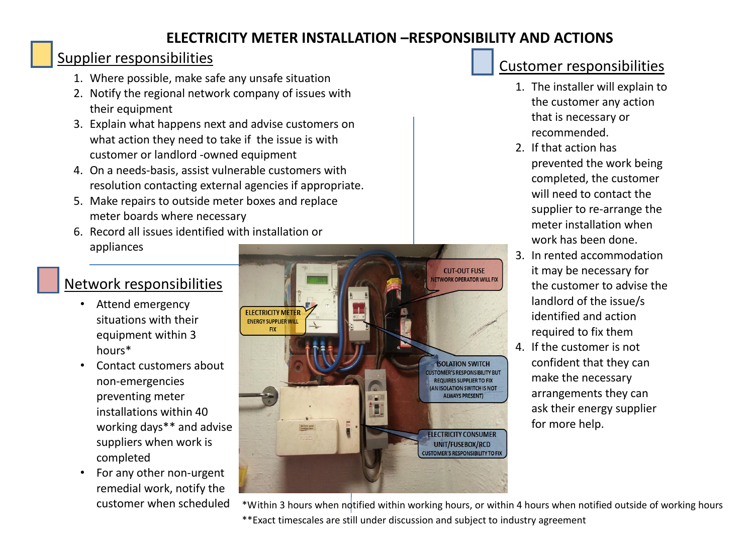## **ELECTRICITY METER INSTALLATION –RESPONSIBILITY AND ACTIONS**

## Supplier responsibilities

- 1. Where possible, make safe any unsafe situation
- 2. Notify the regional network company of issues with their equipment
- 3. Explain what happens next and advise customers on what action they need to take if the issue is with customer or landlord -owned equipment
- 4. On a needs-basis, assist vulnerable customers with resolution contacting external agencies if appropriate.
- 5. Make repairs to outside meter boxes and replace meter boards where necessary
- 6. Record all issues identified with installation or appliances

# Network responsibilities

- Attend emergency situations with their equipment within 3 hours\*
- Contact customers about non-emergencies preventing meter installations within 40 working days\*\* and advise suppliers when work is completed
- For any other non-urgent remedial work, notify the customer when scheduled



# Customer responsibilities

- 1. The installer will explain to the customer any action that is necessary or recommended.
- 2. If that action has prevented the work being completed, the customer will need to contact the supplier to re-arrange the meter installation when work has been done.
- 3. In rented accommodation it may be necessary for the customer to advise the landlord of the issue/s identified and action required to fix them
- 4. If the customer is not confident that they can make the necessary arrangements they can ask their energy supplier for more help.

\*Within 3 hours when notified within working hours, or within 4 hours when notified outside of working hours \*\*Exact timescales are still under discussion and subject to industry agreement